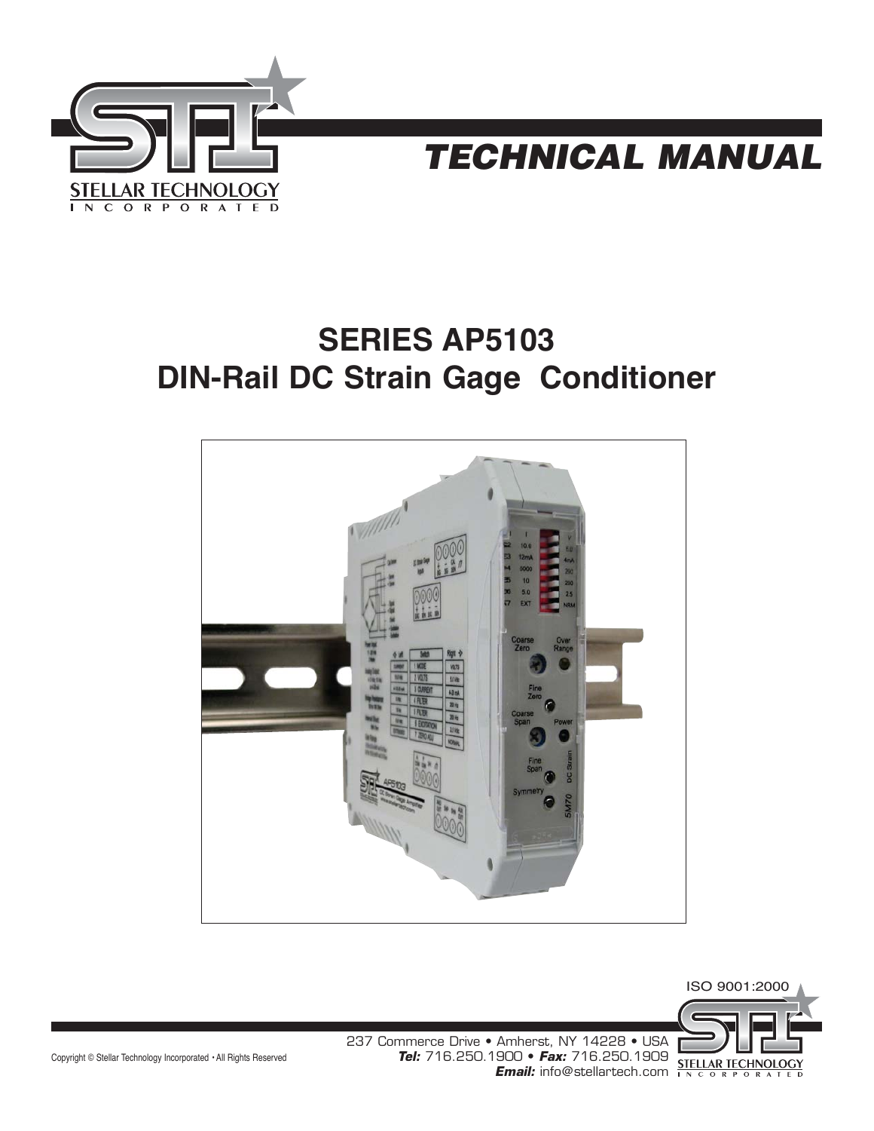



# **SERIES AP5103 DIN-Rail DC Strain Gage Conditioner**





Copyright © Stellar Technology Incorporated • All Rights Reserved

237 Commerce Drive • Amherst, NY 14228 • USA **Tel:** 716.250.1900 • **Fax:** 716.250.1909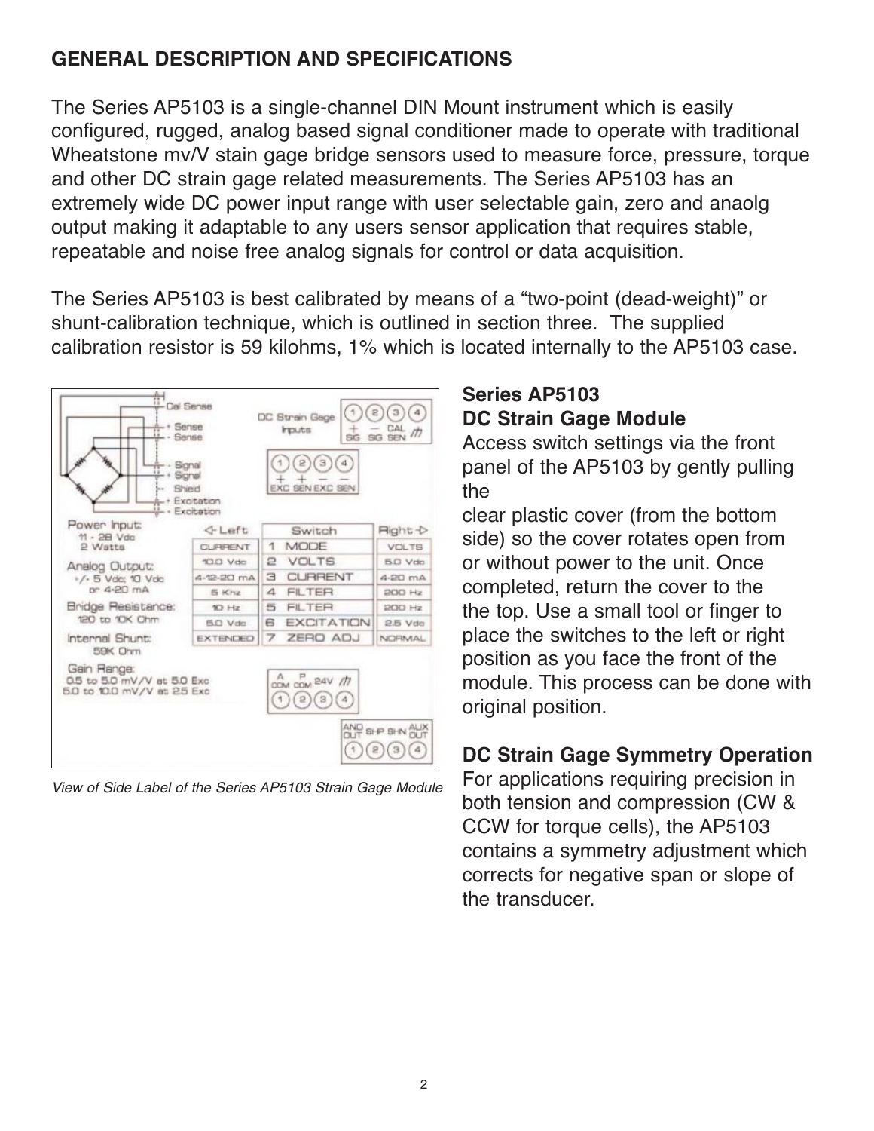# **GENERAL DESCRIPTION AND SPECIFICATIONS**

The Series AP5103 is a single-channel DIN Mount instrument which is easily configured, rugged, analog based signal conditioner made to operate with traditional Wheatstone mv/V stain gage bridge sensors used to measure force, pressure, torque and other DC strain gage related measurements. The Series AP5103 has an extremely wide DC power input range with user selectable gain, zero and anaolg output making it adaptable to any users sensor application that requires stable, repeatable and noise free analog signals for control or data acquisition.

The Series AP5103 is best calibrated by means of a "two-point (dead-weight)" or shunt-calibration technique, which is outlined in section three. The supplied calibration resistor is 59 kilohms, 1% which is located internally to the AP5103 case.



View of Side Label of the Series AP5103 Strain Gage Module

# **Series AP5103 DC Strain Gage Module**

Access switch settings via the front panel of the AP5103 by gently pulling the

clear plastic cover (from the bottom side) so the cover rotates open from or without power to the unit. Once completed, return the cover to the the top. Use a small tool or finger to place the switches to the left or right position as you face the front of the module. This process can be done with original position.

## **DC Strain Gage Symmetry Operation**

For applications requiring precision in both tension and compression (CW & CCW for torque cells), the AP5103 contains a symmetry adjustment which corrects for negative span or slope of the transducer.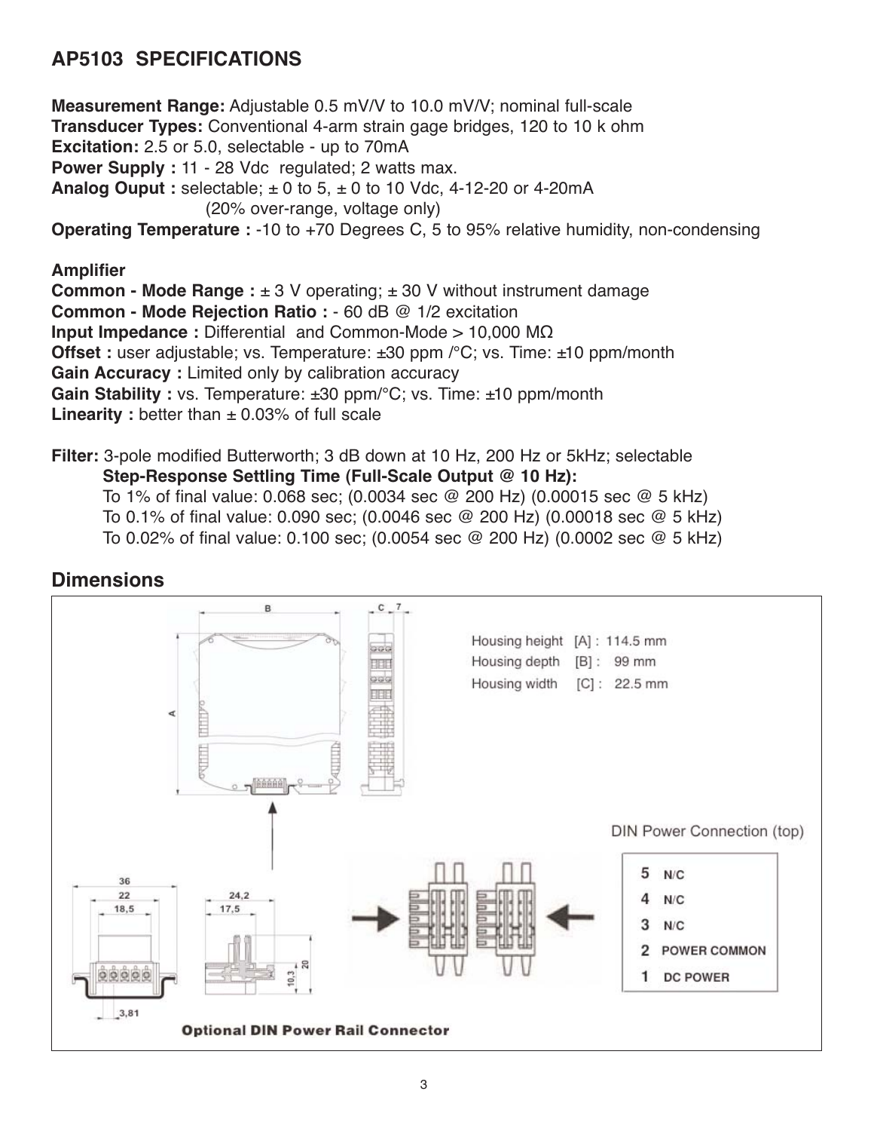# **AP5103 SPECIFICATIONS**

**Measurement Range:** Adjustable 0.5 mV/V to 10.0 mV/V; nominal full-scale **Transducer Types:** Conventional 4-arm strain gage bridges, 120 to 10 k ohm **Excitation:** 2.5 or 5.0, selectable - up to 70mA **Power Supply :** 11 - 28 Vdc regulated; 2 watts max. **Analog Ouput :** selectable; ± 0 to 5, ± 0 to 10 Vdc, 4-12-20 or 4-20mA (20% over-range, voltage only) **Operating Temperature :** -10 to +70 Degrees C, 5 to 95% relative humidity, non-condensing **Amplifier Common - Mode Range:**  $\pm 3$  V operating;  $\pm 30$  V without instrument damage **Common - Mode Rejection Ratio :** - 60 dB @ 1/2 excitation **Input Impedance :** Differential and Common-Mode > 10,000 MΩ

**Offset :** user adjustable; vs. Temperature: ±30 ppm /°C; vs. Time: ±10 ppm/month

**Gain Accuracy :** Limited only by calibration accuracy

**Gain Stability :** vs. Temperature: ±30 ppm/°C; vs. Time: ±10 ppm/month

**Linearity** : better than  $\pm$  0.03% of full scale

**Filter:** 3-pole modified Butterworth; 3 dB down at 10 Hz, 200 Hz or 5kHz; selectable **Step-Response Settling Time (Full-Scale Output @ 10 Hz):** To 1% of final value: 0.068 sec; (0.0034 sec @ 200 Hz) (0.00015 sec @ 5 kHz)

To 0.1% of final value: 0.090 sec; (0.0046 sec @ 200 Hz) (0.00018 sec @ 5 kHz)

To 0.02% of final value: 0.100 sec; (0.0054 sec @ 200 Hz) (0.0002 sec @ 5 kHz)

#### **Dimensions**

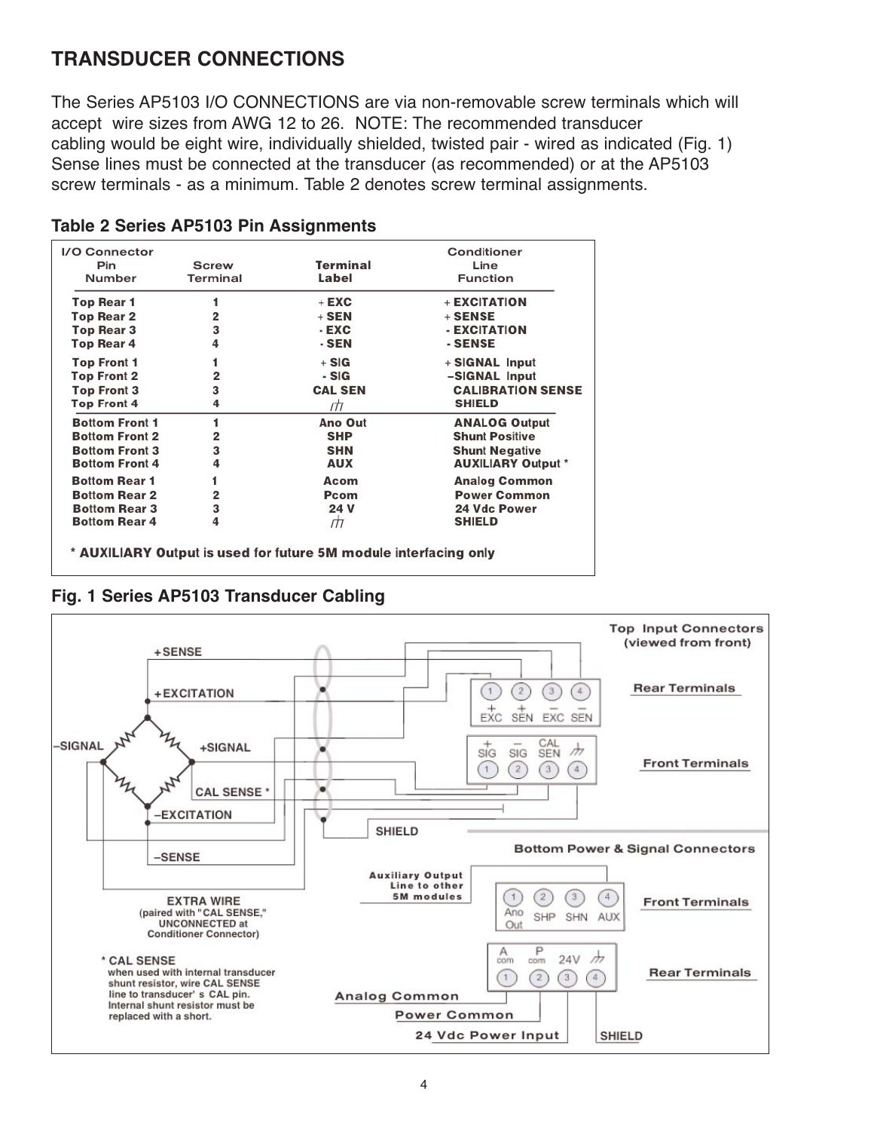## **TRANSDUCER CONNECTIONS**

The Series AP5103 I/O CONNECTIONS are via non-removable screw terminals which will accept wire sizes from AWG 12 to 26. NOTE: The recommended transducer cabling would be eight wire, individually shielded, twisted pair - wired as indicated (Fig. 1) Sense lines must be connected at the transducer (as recommended) or at the AP5103 screw terminals - as a minimum. Table 2 denotes screw terminal assignments.

| I/O Connector         |              |                | Conditioner               |
|-----------------------|--------------|----------------|---------------------------|
| Pin                   | <b>Screw</b> | Terminal       | Line                      |
| Number                | Terminal     | Label          | <b>Function</b>           |
| Top Rear 1            | 1            | $+$ EXC        | + EXCITATION              |
| <b>Top Rear 2</b>     | 2            | $+$ SEN        | $+$ SENSE                 |
| <b>Top Rear 3</b>     | 3            | $-EXC$         | - EXCITATION              |
| <b>Top Rear 4</b>     | 4            | - SEN          | - SENSE                   |
| <b>Top Front 1</b>    |              | $+ SIG$        | + SIGNAL Input            |
| <b>Top Front 2</b>    | 2            | - SIG          | -SIGNAL Input             |
| <b>Top Front 3</b>    | 3            | <b>CAL SEN</b> | <b>CALIBRATION SENSE</b>  |
| <b>Top Front 4</b>    | 4            | ПΠ             | <b>SHIELD</b>             |
| <b>Bottom Front 1</b> | 1            | Ano Out        | <b>ANALOG Output</b>      |
| <b>Bottom Front 2</b> | 2            | <b>SHP</b>     | <b>Shunt Positive</b>     |
| <b>Bottom Front 3</b> | З            | <b>SHN</b>     | <b>Shunt Negative</b>     |
| <b>Bottom Front 4</b> | 4            | <b>AUX</b>     | <b>AUXILIARY Output *</b> |
| <b>Bottom Rear 1</b>  | 1            | Acom           | <b>Analog Common</b>      |
| <b>Bottom Rear 2</b>  | 2            | Pcom           | <b>Power Common</b>       |
| <b>Bottom Rear 3</b>  | 3            | 24 V           | <b>24 Vdc Power</b>       |
| <b>Bottom Rear 4</b>  | 4            | ПΤ             | <b>SHIELD</b>             |
|                       |              |                |                           |

#### **Table 2 Series AP5103 Pin Assignments**

\* AUXILIARY Output is used for future 5M module interfacing only

#### **Fig. 1 Series AP5103 Transducer Cabling**

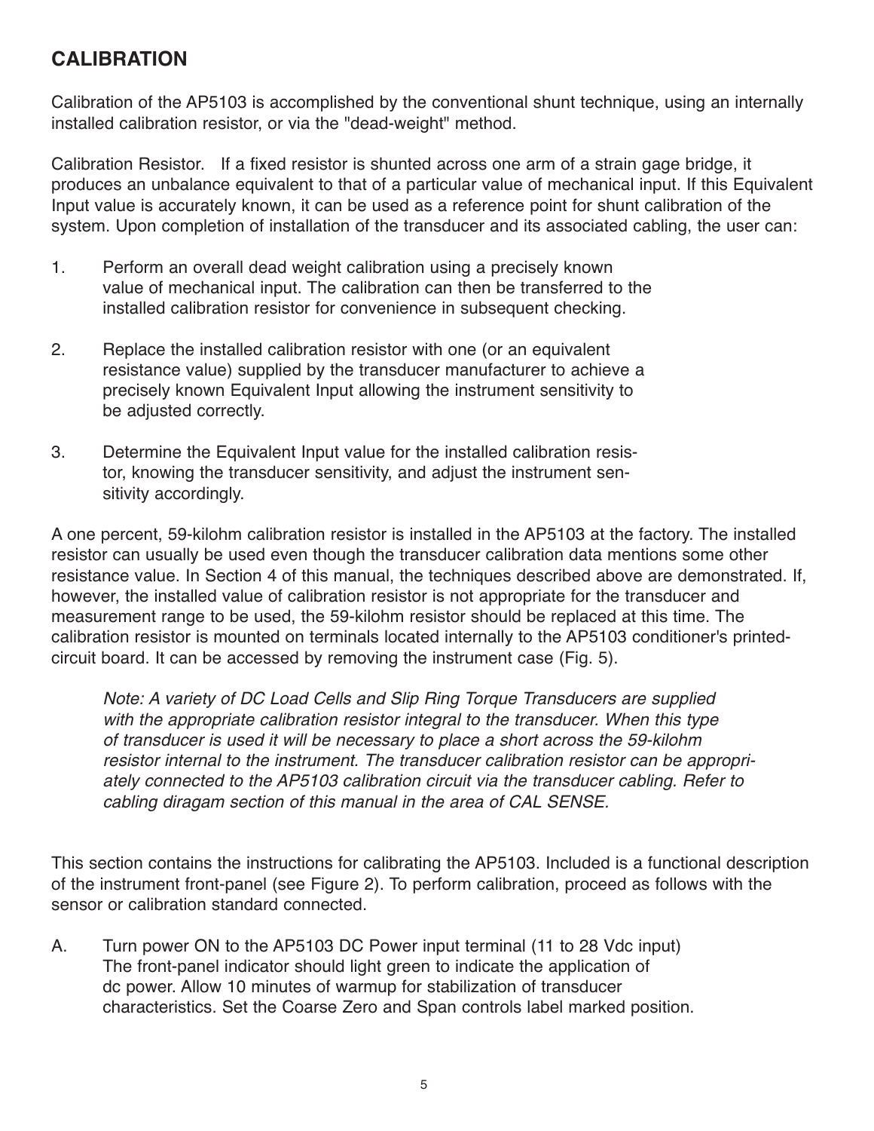## **CALIBRATION**

Calibration of the AP5103 is accomplished by the conventional shunt technique, using an internally installed calibration resistor, or via the "dead-weight" method.

Calibration Resistor. If a fixed resistor is shunted across one arm of a strain gage bridge, it produces an unbalance equivalent to that of a particular value of mechanical input. If this Equivalent Input value is accurately known, it can be used as a reference point for shunt calibration of the system. Upon completion of installation of the transducer and its associated cabling, the user can:

- 1. Perform an overall dead weight calibration using a precisely known value of mechanical input. The calibration can then be transferred to the installed calibration resistor for convenience in subsequent checking.
- 2. Replace the installed calibration resistor with one (or an equivalent resistance value) supplied by the transducer manufacturer to achieve a precisely known Equivalent Input allowing the instrument sensitivity to be adjusted correctly.
- 3. Determine the Equivalent Input value for the installed calibration resistor, knowing the transducer sensitivity, and adjust the instrument sensitivity accordingly.

A one percent, 59-kilohm calibration resistor is installed in the AP5103 at the factory. The installed resistor can usually be used even though the transducer calibration data mentions some other resistance value. In Section 4 of this manual, the techniques described above are demonstrated. If, however, the installed value of calibration resistor is not appropriate for the transducer and measurement range to be used, the 59-kilohm resistor should be replaced at this time. The calibration resistor is mounted on terminals located internally to the AP5103 conditioner's printedcircuit board. It can be accessed by removing the instrument case (Fig. 5).

Note: A variety of DC Load Cells and Slip Ring Torque Transducers are supplied with the appropriate calibration resistor integral to the transducer. When this type of transducer is used it will be necessary to place a short across the 59-kilohm resistor internal to the instrument. The transducer calibration resistor can be appropriately connected to the AP5103 calibration circuit via the transducer cabling. Refer to cabling diragam section of this manual in the area of CAL SENSE.

This section contains the instructions for calibrating the AP5103. Included is a functional description of the instrument front-panel (see Figure 2). To perform calibration, proceed as follows with the sensor or calibration standard connected.

A. Turn power ON to the AP5103 DC Power input terminal (11 to 28 Vdc input) The front-panel indicator should light green to indicate the application of dc power. Allow 10 minutes of warmup for stabilization of transducer characteristics. Set the Coarse Zero and Span controls label marked position.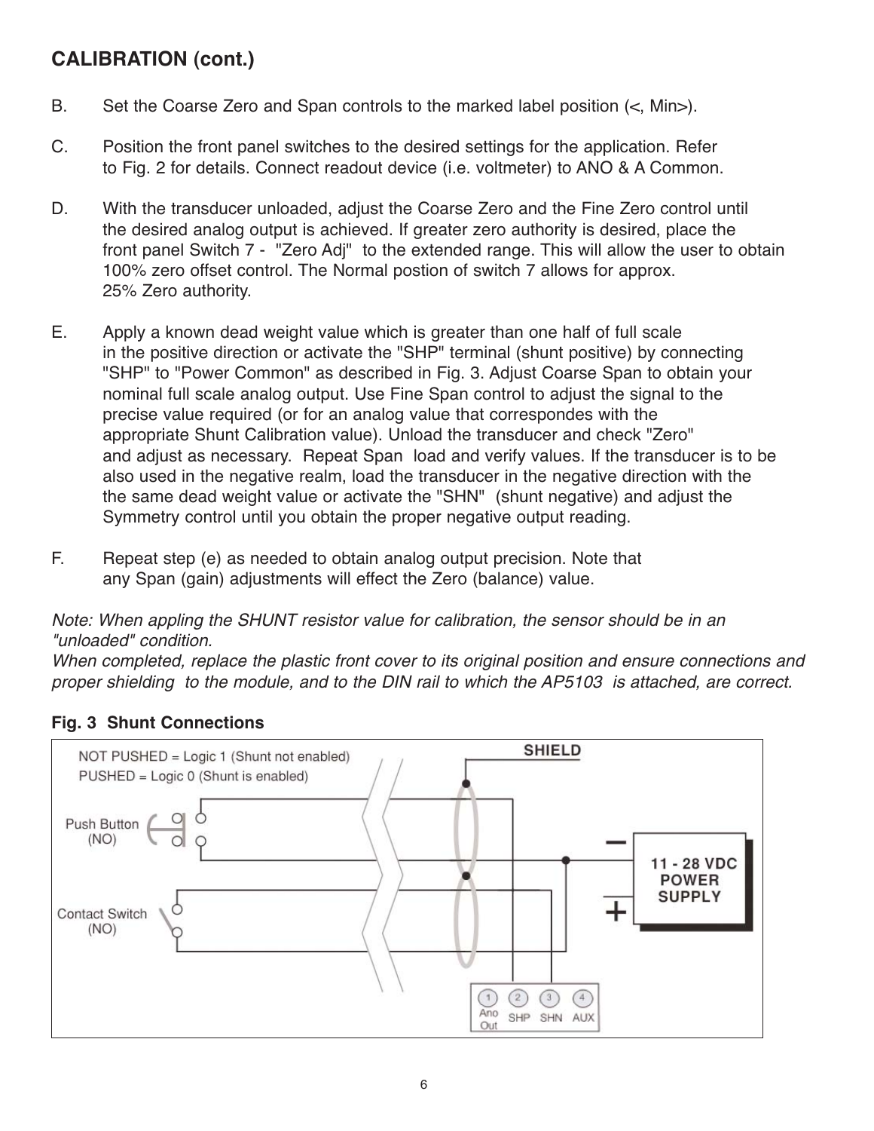## **CALIBRATION (cont.)**

- B. Set the Coarse Zero and Span controls to the marked label position (<, Min>).
- C. Position the front panel switches to the desired settings for the application. Refer to Fig. 2 for details. Connect readout device (i.e. voltmeter) to ANO & A Common.
- D. With the transducer unloaded, adjust the Coarse Zero and the Fine Zero control until the desired analog output is achieved. If greater zero authority is desired, place the front panel Switch 7 - "Zero Adj" to the extended range. This will allow the user to obtain 100% zero offset control. The Normal postion of switch 7 allows for approx. 25% Zero authority.
- E. Apply a known dead weight value which is greater than one half of full scale in the positive direction or activate the "SHP" terminal (shunt positive) by connecting "SHP" to "Power Common" as described in Fig. 3. Adjust Coarse Span to obtain your nominal full scale analog output. Use Fine Span control to adjust the signal to the precise value required (or for an analog value that correspondes with the appropriate Shunt Calibration value). Unload the transducer and check "Zero" and adjust as necessary. Repeat Span load and verify values. If the transducer is to be also used in the negative realm, load the transducer in the negative direction with the the same dead weight value or activate the "SHN" (shunt negative) and adjust the Symmetry control until you obtain the proper negative output reading.
- F. Repeat step (e) as needed to obtain analog output precision. Note that any Span (gain) adjustments will effect the Zero (balance) value.

Note: When appling the SHUNT resistor value for calibration, the sensor should be in an "unloaded" condition.

When completed, replace the plastic front cover to its original position and ensure connections and proper shielding to the module, and to the DIN rail to which the AP5103 is attached, are correct.

#### **Fig. 3 Shunt Connections**

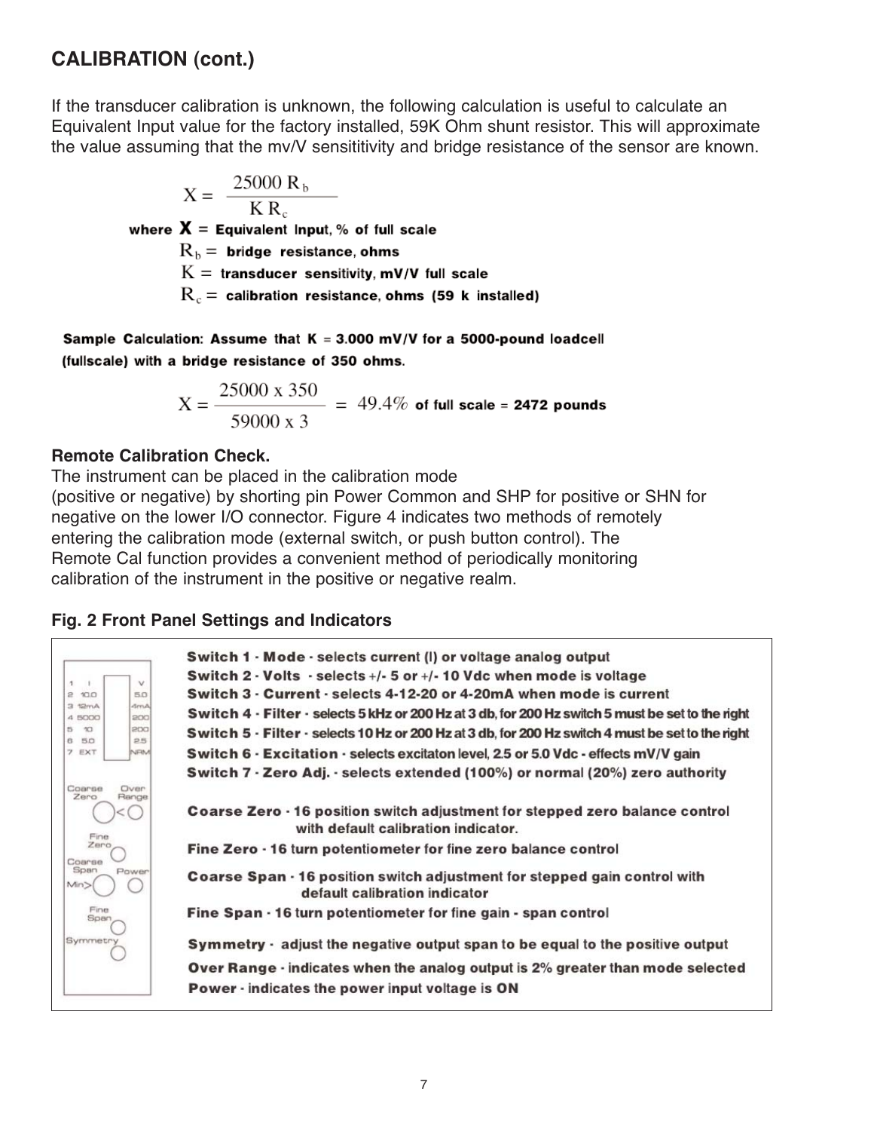## **CALIBRATION (cont.)**

If the transducer calibration is unknown, the following calculation is useful to calculate an Equivalent Input value for the factory installed, 59K Ohm shunt resistor. This will approximate the value assuming that the mv/V sensititivity and bridge resistance of the sensor are known.

$$
X = \frac{25000 R_b}{KR_c}
$$
  
where **X** = Equivalent Input, % of full scale

 $\rm R_b$  = bridge resistance, ohms  $K =$  transducer sensitivity, mV/V full scale

 $R_c$  = calibration resistance, ohms (59 k installed)

Sample Calculation: Assume that  $K = 3.000$  mV/V for a 5000-pound loadcell (fullscale) with a bridge resistance of 350 ohms.

$$
X = \frac{25000 \times 350}{59000 \times 3} = 49.4\% \text{ of full scale} = 2472 \text{ pounds}
$$

#### **Remote Calibration Check.**

The instrument can be placed in the calibration mode

(positive or negative) by shorting pin Power Common and SHP for positive or SHN for negative on the lower I/O connector. Figure 4 indicates two methods of remotely entering the calibration mode (external switch, or push button control). The Remote Cal function provides a convenient method of periodically monitoring calibration of the instrument in the positive or negative realm.

#### **Fig. 2 Front Panel Settings and Indicators**

|                                        | Switch 1 · Mode · selects current (I) or voltage analog output                                                      |
|----------------------------------------|---------------------------------------------------------------------------------------------------------------------|
|                                        | Switch 2 $\cdot$ Volts $\cdot$ selects +/ $\cdot$ 5 or +/ $\cdot$ 10 Vdc when mode is voltage                       |
| $\vee$<br>4<br>2 10.0<br>5.0           | Switch 3 - Current - selects 4-12-20 or 4-20mA when mode is current                                                 |
| <b>GrnA</b><br>3 12mA<br>4 5000<br>200 | Switch 4 - Filter - selects 5 kHz or 200 Hz at 3 db, for 200 Hz switch 5 must be set to the right                   |
| 10 <sup>1</sup><br>55<br>200           | S witch 5 - Filter - selects 10 Hz or 200 Hz at 3 db, for 200 Hz switch 4 must be set to the right                  |
| 25<br>6 50<br>NRM<br>7 EXT             | Switch 6 - Excitation - selects excitaton level, 2.5 or 5.0 Vdc - effects mV/V gain                                 |
|                                        | Switch 7 · Zero Adj. · selects extended (100%) or normal (20%) zero authority                                       |
| Coarse<br>Oven<br>Zero                 |                                                                                                                     |
| Range<br>Fine                          | Coarse Zero - 16 position switch adjustment for stepped zero balance control<br>with default calibration indicator. |
| Zero<br>Coarse                         | Fine Zero - 16 turn potentiometer for fine zero balance control                                                     |
| Span<br>Power<br>Min <sub>2</sub>      | Coarse Span - 16 position switch adjustment for stepped gain control with<br>default calibration indicator          |
| Fine<br>Spar                           | Fine Span · 16 turn potentiometer for fine gain - span control                                                      |
| <b>Symmetry</b>                        | Symmetry $\cdot$ adjust the negative output span to be equal to the positive output                                 |
|                                        | Over Range · indicates when the analog output is 2% greater than mode selected                                      |
|                                        | <b>Power · indicates the power input voltage is ON</b>                                                              |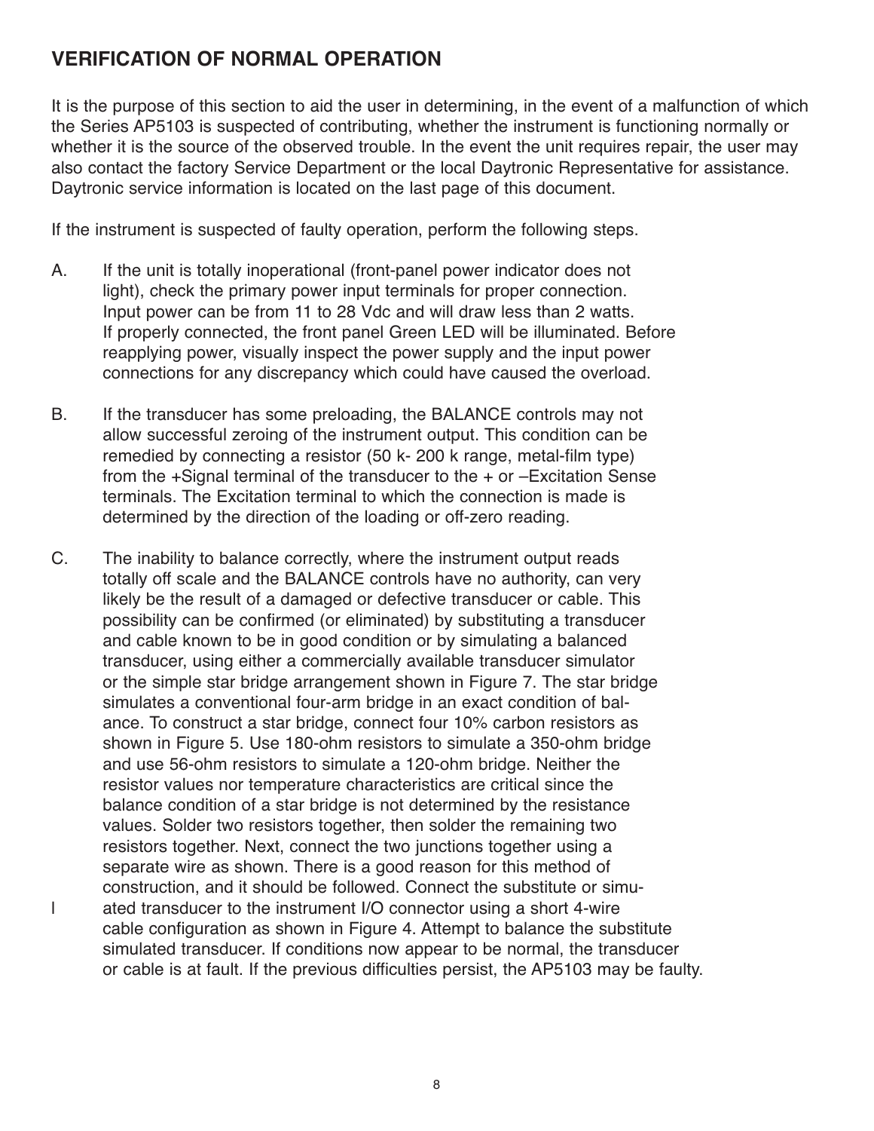## **VERIFICATION OF NORMAL OPERATION**

It is the purpose of this section to aid the user in determining, in the event of a malfunction of which the Series AP5103 is suspected of contributing, whether the instrument is functioning normally or whether it is the source of the observed trouble. In the event the unit requires repair, the user may also contact the factory Service Department or the local Daytronic Representative for assistance. Daytronic service information is located on the last page of this document.

If the instrument is suspected of faulty operation, perform the following steps.

- A. If the unit is totally inoperational (front-panel power indicator does not light), check the primary power input terminals for proper connection. Input power can be from 11 to 28 Vdc and will draw less than 2 watts. If properly connected, the front panel Green LED will be illuminated. Before reapplying power, visually inspect the power supply and the input power connections for any discrepancy which could have caused the overload.
- B. If the transducer has some preloading, the BALANCE controls may not allow successful zeroing of the instrument output. This condition can be remedied by connecting a resistor (50 k- 200 k range, metal-film type) from the +Signal terminal of the transducer to the + or –Excitation Sense terminals. The Excitation terminal to which the connection is made is determined by the direction of the loading or off-zero reading.
- C. The inability to balance correctly, where the instrument output reads totally off scale and the BALANCE controls have no authority, can very likely be the result of a damaged or defective transducer or cable. This possibility can be confirmed (or eliminated) by substituting a transducer and cable known to be in good condition or by simulating a balanced transducer, using either a commercially available transducer simulator or the simple star bridge arrangement shown in Figure 7. The star bridge simulates a conventional four-arm bridge in an exact condition of balance. To construct a star bridge, connect four 10% carbon resistors as shown in Figure 5. Use 180-ohm resistors to simulate a 350-ohm bridge and use 56-ohm resistors to simulate a 120-ohm bridge. Neither the resistor values nor temperature characteristics are critical since the balance condition of a star bridge is not determined by the resistance values. Solder two resistors together, then solder the remaining two resistors together. Next, connect the two junctions together using a separate wire as shown. There is a good reason for this method of construction, and it should be followed. Connect the substitute or simul ated transducer to the instrument I/O connector using a short 4-wire cable configuration as shown in Figure 4. Attempt to balance the substitute simulated transducer. If conditions now appear to be normal, the transducer or cable is at fault. If the previous difficulties persist, the AP5103 may be faulty.